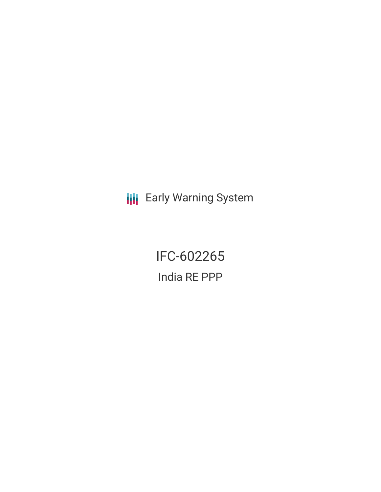**III** Early Warning System

IFC-602265 India RE PPP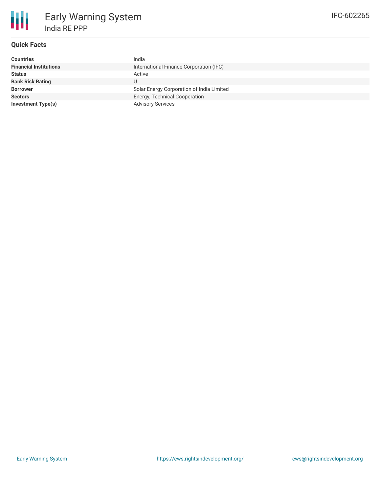

# **Quick Facts**

| <b>Countries</b>              | India                                     |
|-------------------------------|-------------------------------------------|
| <b>Financial Institutions</b> | International Finance Corporation (IFC)   |
| <b>Status</b>                 | Active                                    |
| <b>Bank Risk Rating</b>       |                                           |
| <b>Borrower</b>               | Solar Energy Corporation of India Limited |
| <b>Sectors</b>                | Energy, Technical Cooperation             |
| <b>Investment Type(s)</b>     | <b>Advisory Services</b>                  |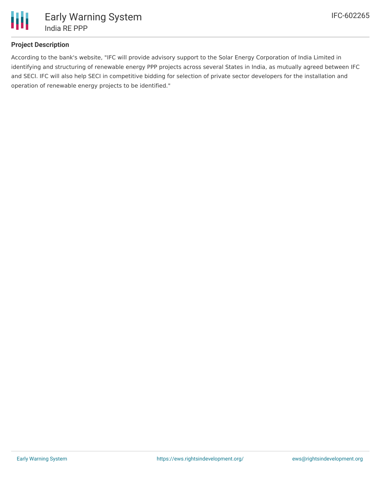

# **Project Description**

According to the bank's website, "IFC will provide advisory support to the Solar Energy Corporation of India Limited in identifying and structuring of renewable energy PPP projects across several States in India, as mutually agreed between IFC and SECI. IFC will also help SECI in competitive bidding for selection of private sector developers for the installation and operation of renewable energy projects to be identified."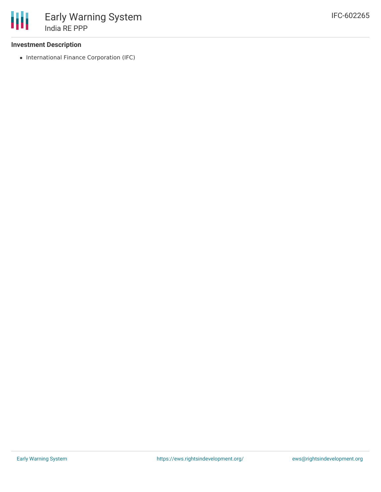### **Investment Description**

• International Finance Corporation (IFC)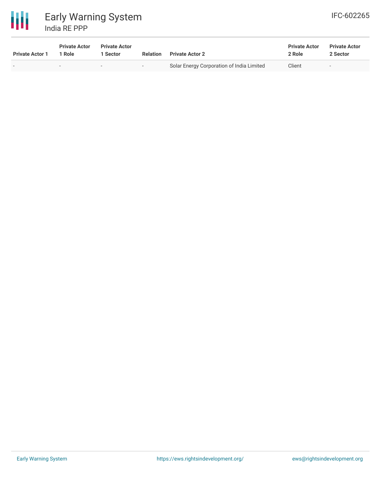

| <b>Private Actor 1</b> | <b>Private Actor</b><br>1 Role | <b>Private Actor</b><br>  Sector | Relation | <b>Private Actor 2</b>                    | <b>Private Actor</b><br>2 Role | <b>Private Actor</b><br>2 Sector |
|------------------------|--------------------------------|----------------------------------|----------|-------------------------------------------|--------------------------------|----------------------------------|
|                        | $\sim$                         | $\sim$                           | $\sim$ . | Solar Energy Corporation of India Limited | Client                         | $\overline{\phantom{a}}$         |